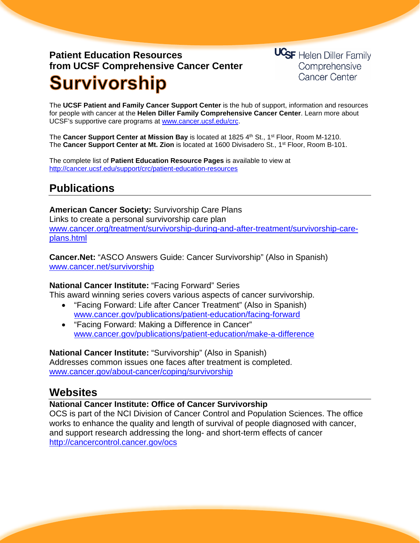# **Patient Education Resources from UCSF Comprehensive Cancer Center Survivorship**

**UCSF** Helen Diller Family Comprehensive **Cancer Center** 

The **UCSF Patient and Family Cancer Support Center** is the hub of support, information and resources for people with cancer at the **Helen Diller Family Comprehensive Cancer Center**. Learn more about UCSF's supportive care programs at [www.cancer.ucsf.edu/crc.](http://www.cancer.ucsf.edu/crc)

The **Cancer Support Center at Mission Bay** is located at 1825 4th St., 1<sup>st</sup> Floor, Room M-1210. The **Cancer Support Center at Mt. Zion** is located at 1600 Divisadero St., 1st Floor, Room B-101.

The complete list of **Patient Education Resource Pages** is available to view at <http://cancer.ucsf.edu/support/crc/patient-education-resources>

## **Publications**

**American Cancer Society:** Survivorship Care Plans Links to create a personal survivorship care plan [www.cancer.org/treatment/survivorship-during-and-after-treatment/survivorship-care](http://www.cancer.org/treatment/survivorship-during-and-after-treatment/survivorship-care-plans.html)[plans.html](http://www.cancer.org/treatment/survivorship-during-and-after-treatment/survivorship-care-plans.html)

**Cancer.Net:** "ASCO Answers Guide: Cancer Survivorship" (Also in Spanish) [www.cancer.net/survivorship](http://www.cancer.net/survivorship)

### **National Cancer Institute:** "Facing Forward" Series

This award winning series covers various aspects of cancer survivorship.

- "Facing Forward: Life after Cancer Treatment" (Also in Spanish) [www.cancer.gov/publications/patient-education/facing-forward](http://www.cancer.gov/publications/patient-education/facing-forward)
- "Facing Forward: Making a Difference in Cancer" [www.cancer.gov/publications/patient-education/make-a-difference](http://www.cancer.gov/publications/patient-education/make-a-difference)

**National Cancer Institute:** "Survivorship" (Also in Spanish) Addresses common issues one faces after treatment is completed. [www.cancer.gov/about-cancer/coping/survivorship](http://www.cancer.gov/about-cancer/coping/survivorship)

### **Websites**

### **National Cancer Institute: Office of Cancer Survivorship**

OCS is part of the NCI Division of Cancer Control and Population Sciences. The office works to enhance the quality and length of survival of people diagnosed with cancer, and support research addressing the long- and short-term effects of cancer <http://cancercontrol.cancer.gov/ocs>